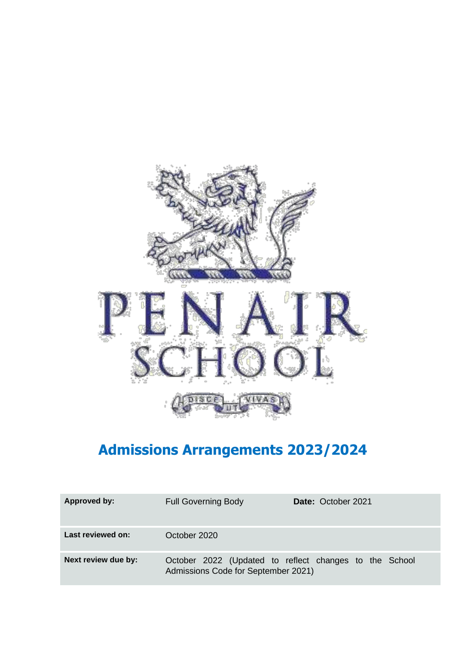

# **Admissions Arrangements 2023/2024**

| Approved by:        | <b>Full Governing Body</b>          | <b>Date: October 2021</b>                              |
|---------------------|-------------------------------------|--------------------------------------------------------|
| Last reviewed on:   | October 2020                        |                                                        |
| Next review due by: | Admissions Code for September 2021) | October 2022 (Updated to reflect changes to the School |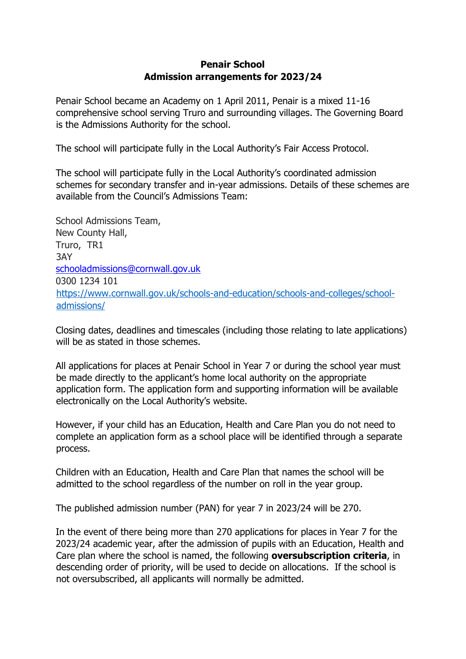## **Penair School Admission arrangements for 2023/24**

Penair School became an Academy on 1 April 2011, Penair is a mixed 11-16 comprehensive school serving Truro and surrounding villages. The Governing Board is the Admissions Authority for the school.

The school will participate fully in the Local Authority's Fair Access Protocol.

The school will participate fully in the Local Authority's coordinated admission schemes for secondary transfer and in-year admissions. Details of these schemes are available from the Council's Admissions Team:

School Admissions Team, New County Hall, Truro, TR1 3AY schooladmissions@cornwall.gov.uk 0300 1234 101 [https://www.cornwall.gov.uk/schools-and-education/schools-and-colleges/school](https://www.cornwall.gov.uk/schools-and-education/schools-and-colleges/school-admissions/)[admissions/](https://www.cornwall.gov.uk/schools-and-education/schools-and-colleges/school-admissions/)

Closing dates, deadlines and timescales (including those relating to late applications) will be as stated in those schemes.

All applications for places at Penair School in Year 7 or during the school year must be made directly to the applicant's home local authority on the appropriate application form. The application form and supporting information will be available electronically on the Local Authority's website.

However, if your child has an Education, Health and Care Plan you do not need to complete an application form as a school place will be identified through a separate process.

Children with an Education, Health and Care Plan that names the school will be admitted to the school regardless of the number on roll in the year group.

The published admission number (PAN) for year 7 in 2023/24 will be 270.

In the event of there being more than 270 applications for places in Year 7 for the 2023/24 academic year, after the admission of pupils with an Education, Health and Care plan where the school is named, the following **oversubscription criteria**, in descending order of priority, will be used to decide on allocations. If the school is not oversubscribed, all applicants will normally be admitted.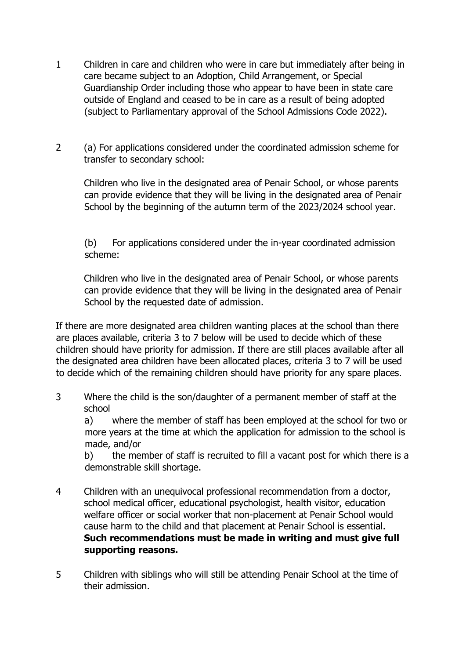- 1 Children in care and children who were in care but immediately after being in care became subject to an Adoption, Child Arrangement, or Special Guardianship Order including those who appear to have been in state care outside of England and ceased to be in care as a result of being adopted (subject to Parliamentary approval of the School Admissions Code 2022).
- 2 (a) For applications considered under the coordinated admission scheme for transfer to secondary school:

Children who live in the designated area of Penair School, or whose parents can provide evidence that they will be living in the designated area of Penair School by the beginning of the autumn term of the 2023/2024 school year.

(b) For applications considered under the in-year coordinated admission scheme:

Children who live in the designated area of Penair School, or whose parents can provide evidence that they will be living in the designated area of Penair School by the requested date of admission.

If there are more designated area children wanting places at the school than there are places available, criteria 3 to 7 below will be used to decide which of these children should have priority for admission. If there are still places available after all the designated area children have been allocated places, criteria 3 to 7 will be used to decide which of the remaining children should have priority for any spare places.

3 Where the child is the son/daughter of a permanent member of staff at the school

a) where the member of staff has been employed at the school for two or more years at the time at which the application for admission to the school is made, and/or

b) the member of staff is recruited to fill a vacant post for which there is a demonstrable skill shortage.

- 4 Children with an unequivocal professional recommendation from a doctor, school medical officer, educational psychologist, health visitor, education welfare officer or social worker that non-placement at Penair School would cause harm to the child and that placement at Penair School is essential. **Such recommendations must be made in writing and must give full supporting reasons.**
- 5 Children with siblings who will still be attending Penair School at the time of their admission.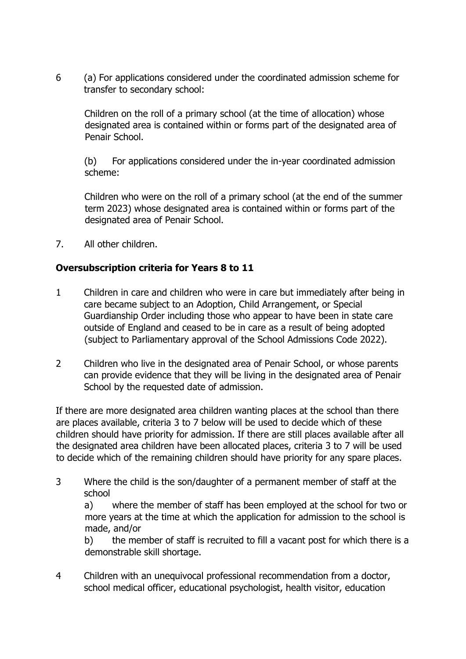6 (a) For applications considered under the coordinated admission scheme for transfer to secondary school:

Children on the roll of a primary school (at the time of allocation) whose designated area is contained within or forms part of the designated area of Penair School.

(b) For applications considered under the in-year coordinated admission scheme:

Children who were on the roll of a primary school (at the end of the summer term 2023) whose designated area is contained within or forms part of the designated area of Penair School.

7. All other children.

# **Oversubscription criteria for Years 8 to 11**

- 1 Children in care and children who were in care but immediately after being in care became subject to an Adoption, Child Arrangement, or Special Guardianship Order including those who appear to have been in state care outside of England and ceased to be in care as a result of being adopted (subject to Parliamentary approval of the School Admissions Code 2022).
- 2 Children who live in the designated area of Penair School, or whose parents can provide evidence that they will be living in the designated area of Penair School by the requested date of admission.

If there are more designated area children wanting places at the school than there are places available, criteria 3 to 7 below will be used to decide which of these children should have priority for admission. If there are still places available after all the designated area children have been allocated places, criteria 3 to 7 will be used to decide which of the remaining children should have priority for any spare places.

3 Where the child is the son/daughter of a permanent member of staff at the school

a) where the member of staff has been employed at the school for two or more years at the time at which the application for admission to the school is made, and/or

b) the member of staff is recruited to fill a vacant post for which there is a demonstrable skill shortage.

4 Children with an unequivocal professional recommendation from a doctor, school medical officer, educational psychologist, health visitor, education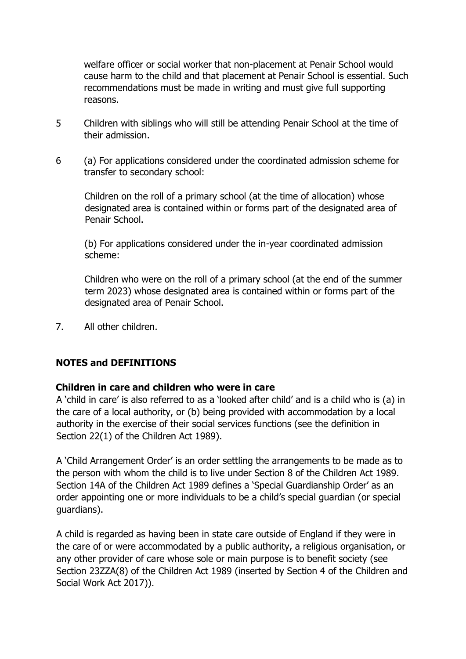welfare officer or social worker that non-placement at Penair School would cause harm to the child and that placement at Penair School is essential. Such recommendations must be made in writing and must give full supporting reasons.

- 5 Children with siblings who will still be attending Penair School at the time of their admission.
- 6 (a) For applications considered under the coordinated admission scheme for transfer to secondary school:

Children on the roll of a primary school (at the time of allocation) whose designated area is contained within or forms part of the designated area of Penair School.

(b) For applications considered under the in-year coordinated admission scheme:

Children who were on the roll of a primary school (at the end of the summer term 2023) whose designated area is contained within or forms part of the designated area of Penair School.

7. All other children.

## **NOTES and DEFINITIONS**

## **Children in care and children who were in care**

A 'child in care' is also referred to as a 'looked after child' and is a child who is (a) in the care of a local authority, or (b) being provided with accommodation by a local authority in the exercise of their social services functions (see the definition in Section 22(1) of the Children Act 1989).

A 'Child Arrangement Order' is an order settling the arrangements to be made as to the person with whom the child is to live under Section 8 of the Children Act 1989. Section 14A of the Children Act 1989 defines a 'Special Guardianship Order' as an order appointing one or more individuals to be a child's special guardian (or special guardians).

A child is regarded as having been in state care outside of England if they were in the care of or were accommodated by a public authority, a religious organisation, or any other provider of care whose sole or main purpose is to benefit society (see Section 23ZZA(8) of the Children Act 1989 (inserted by Section 4 of the Children and Social Work Act 2017)).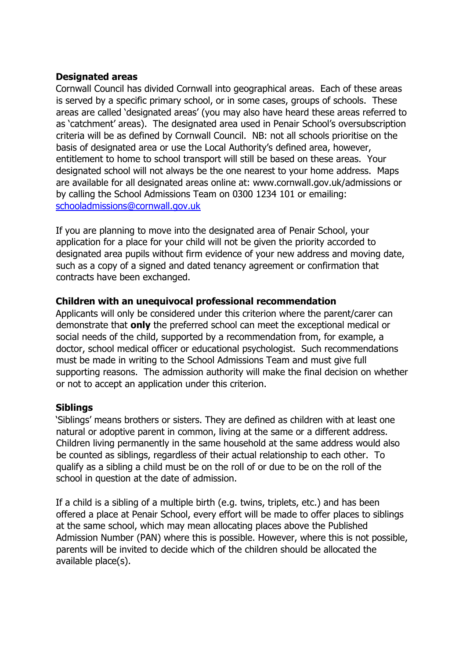## **Designated areas**

Cornwall Council has divided Cornwall into geographical areas. Each of these areas is served by a specific primary school, or in some cases, groups of schools. These areas are called 'designated areas' (you may also have heard these areas referred to as 'catchment' areas). The designated area used in Penair School's oversubscription criteria will be as defined by Cornwall Council. NB: not all schools prioritise on the basis of designated area or use the Local Authority's defined area, however, entitlement to home to school transport will still be based on these areas. Your designated school will not always be the one nearest to your home address. Maps are available for all designated areas online at: www.cornwall.gov.uk/admissions or by calling the School Admissions Team on 0300 1234 101 or emailing: schooladmissions@cornwall.gov.uk

If you are planning to move into the designated area of Penair School, your application for a place for your child will not be given the priority accorded to designated area pupils without firm evidence of your new address and moving date, such as a copy of a signed and dated tenancy agreement or confirmation that contracts have been exchanged.

### **Children with an unequivocal professional recommendation**

Applicants will only be considered under this criterion where the parent/carer can demonstrate that **only** the preferred school can meet the exceptional medical or social needs of the child, supported by a recommendation from, for example, a doctor, school medical officer or educational psychologist. Such recommendations must be made in writing to the School Admissions Team and must give full supporting reasons. The admission authority will make the final decision on whether or not to accept an application under this criterion.

#### **Siblings**

'Siblings' means brothers or sisters. They are defined as children with at least one natural or adoptive parent in common, living at the same or a different address. Children living permanently in the same household at the same address would also be counted as siblings, regardless of their actual relationship to each other. To qualify as a sibling a child must be on the roll of or due to be on the roll of the school in question at the date of admission.

If a child is a sibling of a multiple birth (e.g. twins, triplets, etc.) and has been offered a place at Penair School, every effort will be made to offer places to siblings at the same school, which may mean allocating places above the Published Admission Number (PAN) where this is possible. However, where this is not possible, parents will be invited to decide which of the children should be allocated the available place(s).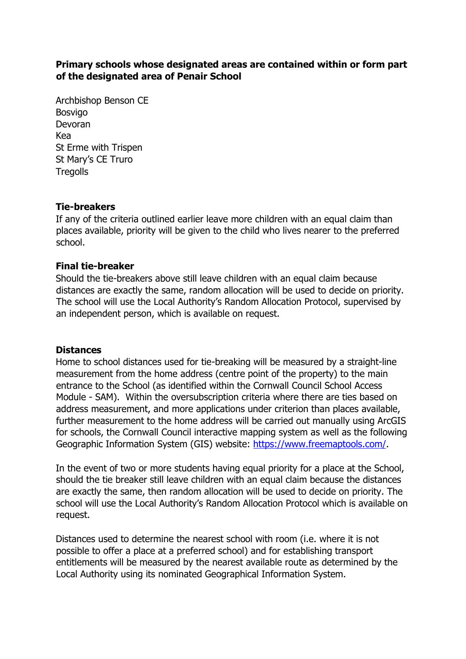## **Primary schools whose designated areas are contained within or form part of the designated area of Penair School**

Archbishop Benson CE Bosvigo Devoran Kea St Erme with Trispen St Mary's CE Truro **Tregolls** 

#### **Tie-breakers**

If any of the criteria outlined earlier leave more children with an equal claim than places available, priority will be given to the child who lives nearer to the preferred school.

## **Final tie-breaker**

Should the tie-breakers above still leave children with an equal claim because distances are exactly the same, random allocation will be used to decide on priority. The school will use the Local Authority's Random Allocation Protocol, supervised by an independent person, which is available on request.

#### **Distances**

Home to school distances used for tie-breaking will be measured by a straight-line measurement from the home address (centre point of the property) to the main entrance to the School (as identified within the Cornwall Council School Access Module - SAM). Within the oversubscription criteria where there are ties based on address measurement, and more applications under criterion than places available, further measurement to the home address will be carried out manually using ArcGIS for schools, the Cornwall Council interactive mapping system as well as the following Geographic Information System (GIS) website: [https://www.freemaptools.com/.](https://www.freemaptools.com/)

In the event of two or more students having equal priority for a place at the School, should the tie breaker still leave children with an equal claim because the distances are exactly the same, then random allocation will be used to decide on priority. The school will use the Local Authority's Random Allocation Protocol which is available on request.

Distances used to determine the nearest school with room (i.e. where it is not possible to offer a place at a preferred school) and for establishing transport entitlements will be measured by the nearest available route as determined by the Local Authority using its nominated Geographical Information System.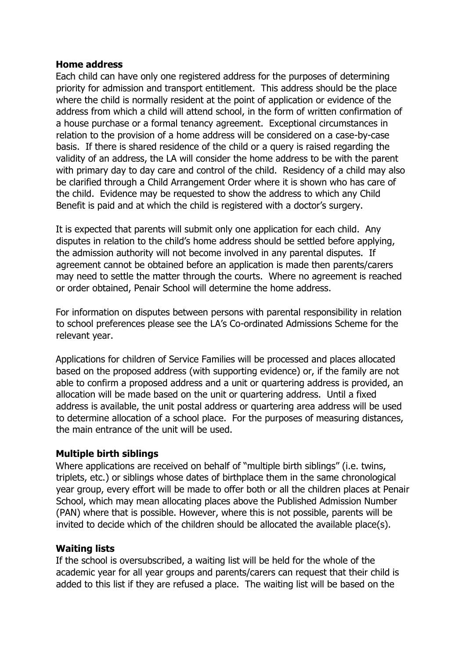#### **Home address**

Each child can have only one registered address for the purposes of determining priority for admission and transport entitlement. This address should be the place where the child is normally resident at the point of application or evidence of the address from which a child will attend school, in the form of written confirmation of a house purchase or a formal tenancy agreement. Exceptional circumstances in relation to the provision of a home address will be considered on a case-by-case basis. If there is shared residence of the child or a query is raised regarding the validity of an address, the LA will consider the home address to be with the parent with primary day to day care and control of the child. Residency of a child may also be clarified through a Child Arrangement Order where it is shown who has care of the child. Evidence may be requested to show the address to which any Child Benefit is paid and at which the child is registered with a doctor's surgery.

It is expected that parents will submit only one application for each child. Any disputes in relation to the child's home address should be settled before applying, the admission authority will not become involved in any parental disputes. If agreement cannot be obtained before an application is made then parents/carers may need to settle the matter through the courts. Where no agreement is reached or order obtained, Penair School will determine the home address.

For information on disputes between persons with parental responsibility in relation to school preferences please see the LA's Co-ordinated Admissions Scheme for the relevant year.

Applications for children of Service Families will be processed and places allocated based on the proposed address (with supporting evidence) or, if the family are not able to confirm a proposed address and a unit or quartering address is provided, an allocation will be made based on the unit or quartering address. Until a fixed address is available, the unit postal address or quartering area address will be used to determine allocation of a school place. For the purposes of measuring distances, the main entrance of the unit will be used.

## **Multiple birth siblings**

Where applications are received on behalf of "multiple birth siblings" (i.e. twins, triplets, etc.) or siblings whose dates of birthplace them in the same chronological year group, every effort will be made to offer both or all the children places at Penair School, which may mean allocating places above the Published Admission Number (PAN) where that is possible. However, where this is not possible, parents will be invited to decide which of the children should be allocated the available place(s).

## **Waiting lists**

If the school is oversubscribed, a waiting list will be held for the whole of the academic year for all year groups and parents/carers can request that their child is added to this list if they are refused a place. The waiting list will be based on the